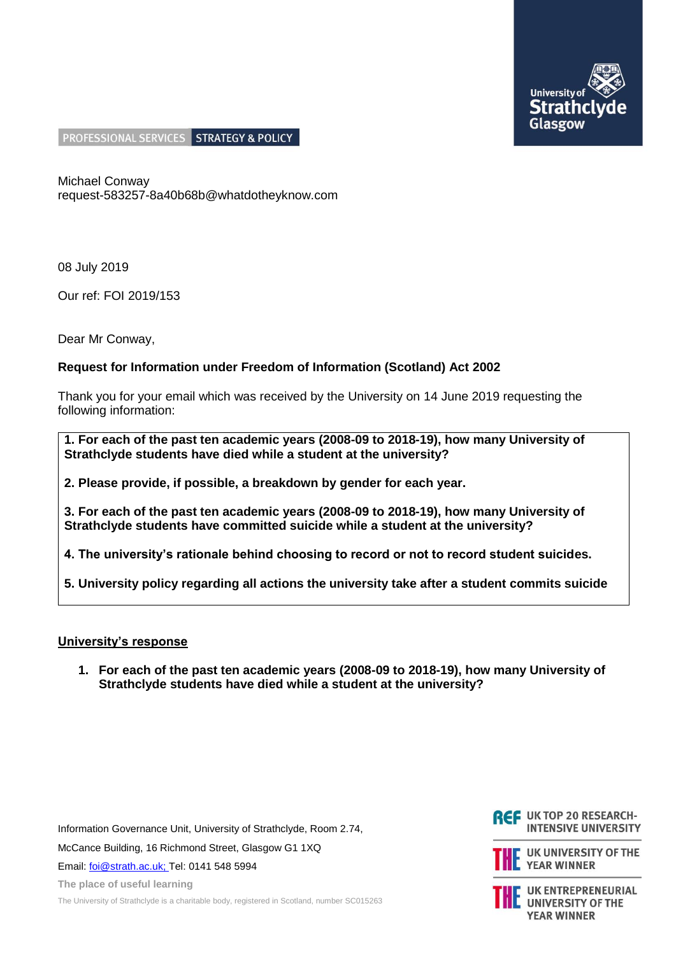

PROFESSIONAL SERVICES STRATEGY & POLICY

Michael Conway request-583257-8a40b68b@whatdotheyknow.com

08 July 2019

Our ref: FOI 2019/153

Dear Mr Conway,

# **Request for Information under Freedom of Information (Scotland) Act 2002**

Thank you for your email which was received by the University on 14 June 2019 requesting the following information:

**1. For each of the past ten academic years (2008-09 to 2018-19), how many University of Strathclyde students have died while a student at the university?** 

**2. Please provide, if possible, a breakdown by gender for each year.** 

**3. For each of the past ten academic years (2008-09 to 2018-19), how many University of Strathclyde students have committed suicide while a student at the university?** 

**4. The university's rationale behind choosing to record or not to record student suicides.** 

**5. University policy regarding all actions the university take after a student commits suicide** 

# **University's response**

**1. For each of the past ten academic years (2008-09 to 2018-19), how many University of Strathclyde students have died while a student at the university?** 

Information Governance Unit, University of Strathclyde, Room 2.74, McCance Building, 16 Richmond Street, Glasgow G1 1XQ Email[: foi@strath.ac.uk;](mailto:xxx@xxxxxx.xx.xx) Tel: 0141 548 5994 **The place of useful learning**

The University of Strathclyde is a charitable body, registered in Scotland, number SC015263





**UK ENTREPRENEURIAL** UNIVERSITY OF THE **YEAR WINNER**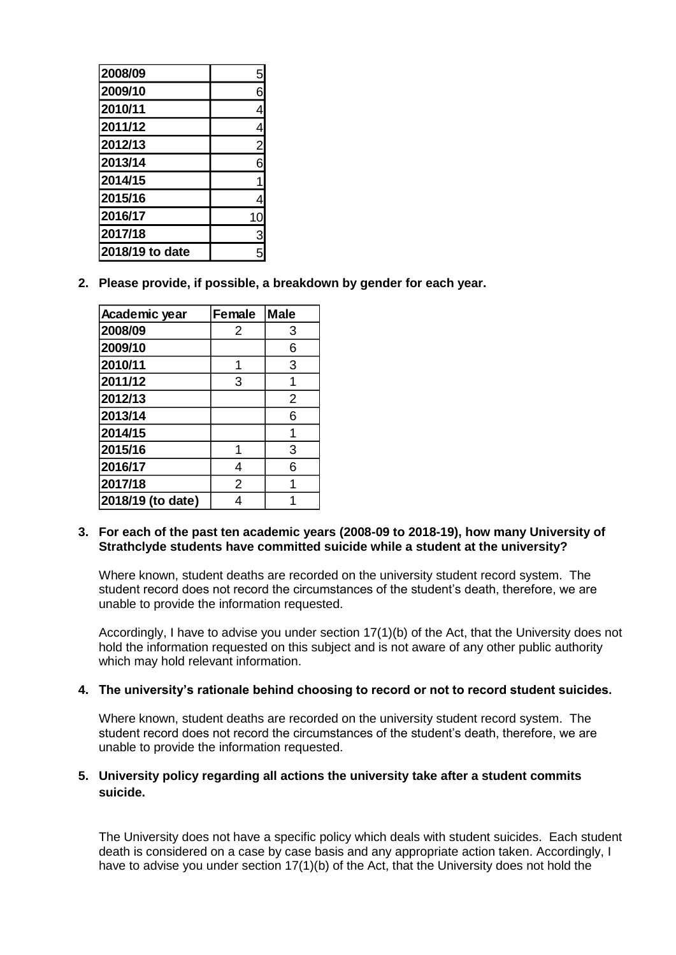| 2008/09         | 5              |
|-----------------|----------------|
| 2009/10         | 6              |
| 2010/11         | 4              |
| 2011/12         |                |
| 2012/13         | $\overline{c}$ |
| 2013/14         | 6              |
| 2014/15         |                |
| 2015/16         |                |
| 2016/17         | 10             |
| 2017/18         | 3              |
| 2018/19 to date |                |

**2. Please provide, if possible, a breakdown by gender for each year.** 

| Academic year     | <b>Female</b>  | <b>Male</b> |
|-------------------|----------------|-------------|
| 2008/09           | 2              | 3           |
| 2009/10           |                | 6           |
| 2010/11           |                | 3           |
| 2011/12           | 3              | 1           |
| 2012/13           |                | 2           |
| 2013/14           |                | 6           |
| 2014/15           |                | 1           |
| 2015/16           | 1              | 3           |
| 2016/17           | 4              | 6           |
| 2017/18           | $\overline{2}$ |             |
| 2018/19 (to date) |                |             |

## **3. For each of the past ten academic years (2008-09 to 2018-19), how many University of Strathclyde students have committed suicide while a student at the university?**

Where known, student deaths are recorded on the university student record system. The student record does not record the circumstances of the student's death, therefore, we are unable to provide the information requested.

Accordingly, I have to advise you under section 17(1)(b) of the Act, that the University does not hold the information requested on this subject and is not aware of any other public authority which may hold relevant information.

# **4. The university's rationale behind choosing to record or not to record student suicides.**

Where known, student deaths are recorded on the university student record system. The student record does not record the circumstances of the student's death, therefore, we are unable to provide the information requested.

# **5. University policy regarding all actions the university take after a student commits suicide.**

The University does not have a specific policy which deals with student suicides. Each student death is considered on a case by case basis and any appropriate action taken. Accordingly, I have to advise you under section 17(1)(b) of the Act, that the University does not hold the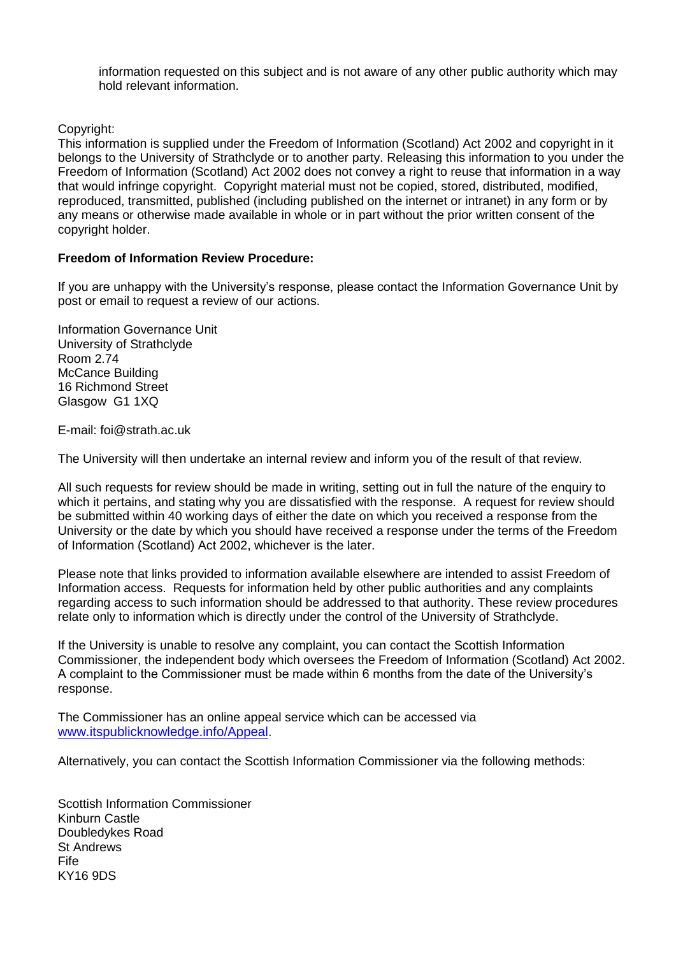information requested on this subject and is not aware of any other public authority which may hold relevant information.

Copyright:

This information is supplied under the Freedom of Information (Scotland) Act 2002 and copyright in it belongs to the University of Strathclyde or to another party. Releasing this information to you under the Freedom of Information (Scotland) Act 2002 does not convey a right to reuse that information in a way that would infringe copyright. Copyright material must not be copied, stored, distributed, modified, reproduced, transmitted, published (including published on the internet or intranet) in any form or by any means or otherwise made available in whole or in part without the prior written consent of the copyright holder.

## **Freedom of Information Review Procedure:**

If you are unhappy with the University's response, please contact the Information Governance Unit by post or email to request a review of our actions.

Information Governance Unit University of Strathclyde Room 2.74 McCance Building 16 Richmond Street Glasgow G1 1XQ

E-mail: foi@strath.ac.uk

The University will then undertake an internal review and inform you of the result of that review.

All such requests for review should be made in writing, setting out in full the nature of the enquiry to which it pertains, and stating why you are dissatisfied with the response. A request for review should be submitted within 40 working days of either the date on which you received a response from the University or the date by which you should have received a response under the terms of the Freedom of Information (Scotland) Act 2002, whichever is the later.

Please note that links provided to information available elsewhere are intended to assist Freedom of Information access. Requests for information held by other public authorities and any complaints regarding access to such information should be addressed to that authority. These review procedures relate only to information which is directly under the control of the University of Strathclyde.

If the University is unable to resolve any complaint, you can contact the Scottish Information Commissioner, the independent body which oversees the Freedom of Information (Scotland) Act 2002. A complaint to the Commissioner must be made within 6 months from the date of the University's response.

The Commissioner has an online appeal service which can be accessed via [www.itspublicknowledge.info/Appeal.](http://www.itspublicknowledge.info/Appeal)

Alternatively, you can contact the Scottish Information Commissioner via the following methods:

Scottish Information Commissioner Kinburn Castle Doubledykes Road St Andrews Fife KY16 9DS